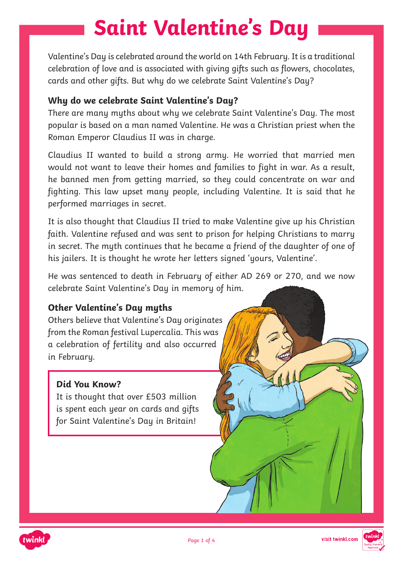# **Saint Valentine's Day**

Valentine's Day is celebrated around the world on 14th February. It is a traditional celebration of love and is associated with giving gifts such as flowers, chocolates, cards and other gifts. But why do we celebrate Saint Valentine's Day?

#### **Why do we celebrate Saint Valentine's Day?**

There are many myths about why we celebrate Saint Valentine's Day. The most popular is based on a man named Valentine. He was a Christian priest when the Roman Emperor Claudius II was in charge.

Claudius II wanted to build a strong army. He worried that married men would not want to leave their homes and families to fight in war. As a result, he banned men from getting married, so they could concentrate on war and fighting. This law upset many people, including Valentine. It is said that he performed marriages in secret.

It is also thought that Claudius II tried to make Valentine give up his Christian faith. Valentine refused and was sent to prison for helping Christians to marry in secret. The myth continues that he became a friend of the daughter of one of his jailers. It is thought he wrote her letters signed 'yours, Valentine'.

He was sentenced to death in February of either AD 269 or 270, and we now celebrate Saint Valentine's Day in memory of him.

#### **Other Valentine's Day myths**

Others believe that Valentine's Day originates from the Roman festival Lupercalia. This was a celebration of fertility and also occurred in February.

#### **Did You Know?**

It is thought that over £503 million is spent each year on cards and gifts for Saint Valentine's Day in Britain!



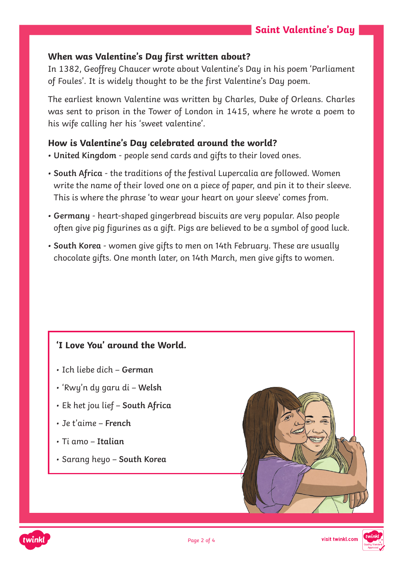#### **When was Valentine's Day first written about?**

In 1382, Geoffrey Chaucer wrote about Valentine's Day in his poem 'Parliament of Foules'. It is widely thought to be the first Valentine's Day poem.

The earliest known Valentine was written by Charles, Duke of Orleans. Charles was sent to prison in the Tower of London in 1415, where he wrote a poem to his wife calling her his 'sweet valentine'.

#### **How is Valentine's Day celebrated around the world?**

- **• United Kingdom** people send cards and gifts to their loved ones.
- **• South Africa** the traditions of the festival Lupercalia are followed. Women write the name of their loved one on a piece of paper, and pin it to their sleeve. This is where the phrase 'to wear your heart on your sleeve' comes from.
- **• Germany**  heart-shaped gingerbread biscuits are very popular. Also people often give pig figurines as a gift. Pigs are believed to be a symbol of good luck.
- **• South Korea**  women give gifts to men on 14th February. These are usually chocolate gifts. One month later, on 14th March, men give gifts to women.

#### **'I Love You' around the World.**

- Ich liebe dich **German**
- 'Rwy'n dy garu di **Welsh**
- Ek het jou lief **South Africa**
- Je t'aime – **French**
- Ti amo **Italian**
- Sarang heyo **South Korea**



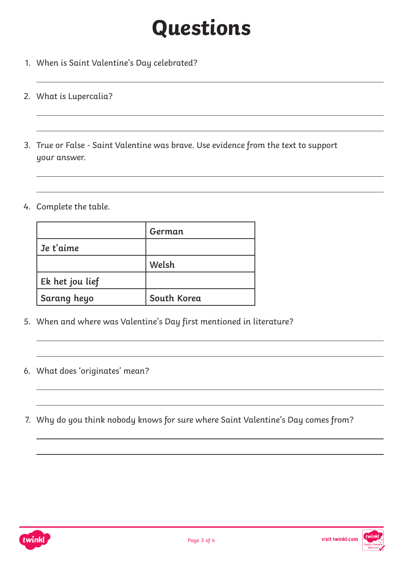# **Questions**

- 1. When is Saint Valentine's Day celebrated?
- 2. What is Lupercalia?
- 3. True or False Saint Valentine was brave. Use evidence from the text to support your answer.
- 4. Complete the table.

|                 | German      |
|-----------------|-------------|
| Je t'aime       |             |
|                 | Welsh       |
| Ek het jou lief |             |
| Sarang heyo     | South Korea |

- 5. When and where was Valentine's Day first mentioned in literature?
- 6. What does 'originates' mean?
- 7. Why do you think nobody knows for sure where Saint Valentine's Day comes from?



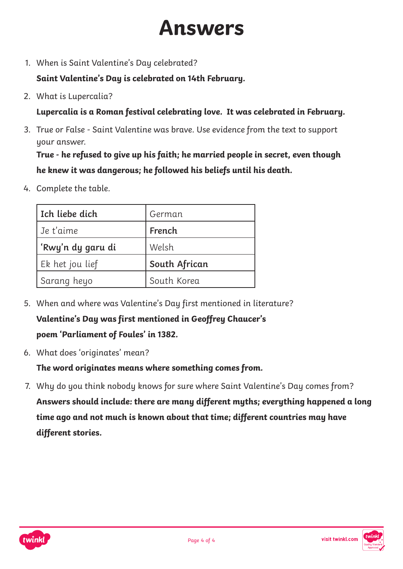### **Answers**

1. When is Saint Valentine's Day celebrated?

**Saint Valentine's Day is celebrated on 14th February.**

2. What is Lupercalia?

**Lupercalia is a Roman festival celebrating love. It was celebrated in February.**

3. True or False - Saint Valentine was brave. Use evidence from the text to support your answer.

**True - he refused to give up his faith; he married people in secret, even though he knew it was dangerous; he followed his beliefs until his death.**

4. Complete the table.

| Ich liebe dich    | German        |
|-------------------|---------------|
| Je t'aime         | French        |
| 'Rwy'n dy garu di | Welsh         |
| Ek het jou lief   | South African |
| Sarang heyo       | South Korea   |

- 5. When and where was Valentine's Day first mentioned in literature? **Valentine's Day was first mentioned in Geoffrey Chaucer's poem 'Parliament of Foules' in 1382.**
- 6. What does 'originates' mean?

**The word originates means where something comes from.**

7. Why do you think nobody knows for sure where Saint Valentine's Day comes from? **Answers should include: there are many different myths; everything happened a long time ago and not much is known about that time; different countries may have different stories.**



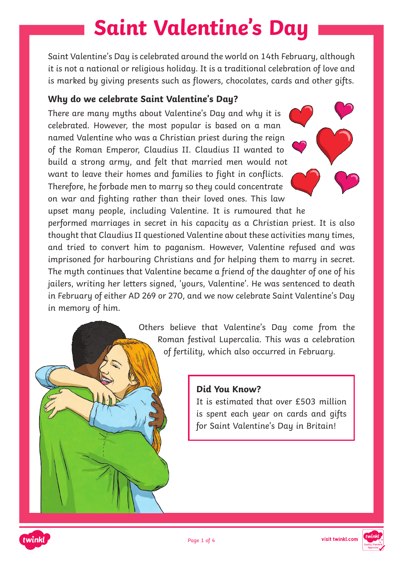# **Saint Valentine's Day**

Saint Valentine's Day is celebrated around the world on 14th February, although it is not a national or religious holiday. It is a traditional celebration of love and is marked by giving presents such as flowers, chocolates, cards and other gifts.

#### **Why do we celebrate Saint Valentine's Day?**

There are many myths about Valentine's Day and why it is celebrated. However, the most popular is based on a man named Valentine who was a Christian priest during the reign of the Roman Emperor, Claudius II. Claudius II wanted to build a strong army, and felt that married men would not want to leave their homes and families to fight in conflicts. Therefore, he forbade men to marry so they could concentrate on war and fighting rather than their loved ones. This law



upset many people, including Valentine. It is rumoured that he performed marriages in secret in his capacity as a Christian priest. It is also thought that Claudius II questioned Valentine about these activities many times, and tried to convert him to paganism. However, Valentine refused and was imprisoned for harbouring Christians and for helping them to marry in secret. The myth continues that Valentine became a friend of the daughter of one of his jailers, writing her letters signed, 'yours, Valentine'. He was sentenced to death in February of either AD 269 or 270, and we now celebrate Saint Valentine's Day in memory of him.





It is estimated that over £503 million is spent each year on cards and gifts for Saint Valentine's Day in Britain!





visit twinkl.com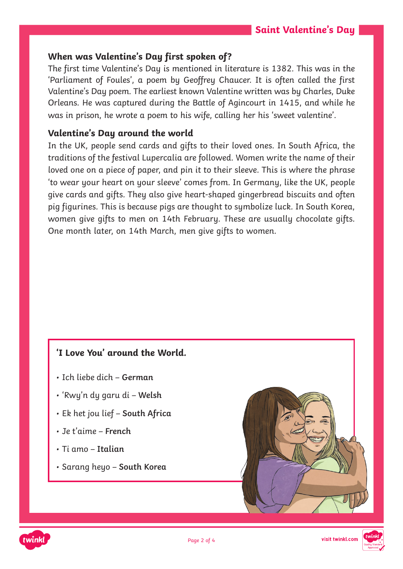#### **When was Valentine's Day first spoken of?**

The first time Valentine's Day is mentioned in literature is 1382. This was in the 'Parliament of Foules', a poem by Geoffrey Chaucer. It is often called the first Valentine's Day poem. The earliest known Valentine written was by Charles, Duke Orleans. He was captured during the Battle of Agincourt in 1415, and while he was in prison, he wrote a poem to his wife, calling her his 'sweet valentine'.

#### **Valentine's Day around the world**

In the UK, people send cards and gifts to their loved ones. In South Africa, the traditions of the festival Lupercalia are followed. Women write the name of their loved one on a piece of paper, and pin it to their sleeve. This is where the phrase 'to wear your heart on your sleeve' comes from. In Germany, like the UK, people give cards and gifts. They also give heart-shaped gingerbread biscuits and often pig figurines. This is because pigs are thought to symbolize luck. In South Korea, women give gifts to men on 14th February. These are usually chocolate gifts. One month later, on 14th March, men give gifts to women.

#### **'I Love You' around the World.**

- Ich liebe dich **German**
- 'Rwy'n dy garu di **Welsh**
- Ek het jou lief **South Africa**
- Je t'aime – **French**
- Ti amo **Italian**
- Sarang heyo **South Korea**





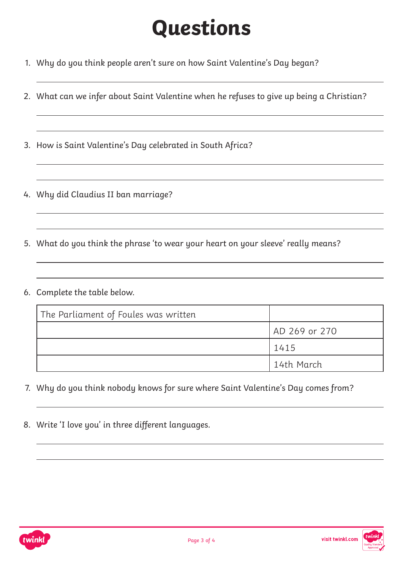# **Questions**

- 1. Why do you think people aren't sure on how Saint Valentine's Day began?
- 2. What can we infer about Saint Valentine when he refuses to give up being a Christian?
- 3. How is Saint Valentine's Day celebrated in South Africa?
- 4. Why did Claudius II ban marriage?
- 5. What do you think the phrase 'to wear your heart on your sleeve' really means?
- 6. Complete the table below.

| The Parliament of Foules was written |               |
|--------------------------------------|---------------|
|                                      | AD 269 or 270 |
|                                      | 1415          |
|                                      | l 14th March  |

- 7. Why do you think nobody knows for sure where Saint Valentine's Day comes from?
- 8. Write 'I love you' in three different languages.

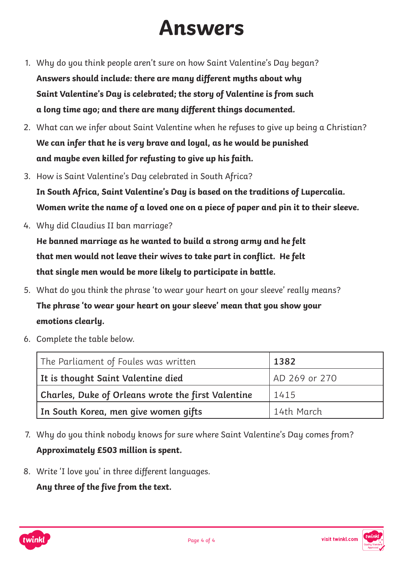## **Answers**

- 1. Why do you think people aren't sure on how Saint Valentine's Day began? **Answers should include: there are many different myths about why Saint Valentine's Day is celebrated; the story of Valentine is from such a long time ago; and there are many different things documented.**
- 2. What can we infer about Saint Valentine when he refuses to give up being a Christian? **We can infer that he is very brave and loyal, as he would be punished and maybe even killed for refusting to give up his faith.**
- 3. How is Saint Valentine's Day celebrated in South Africa? **In South Africa, Saint Valentine's Day is based on the traditions of Lupercalia. Women write the name of a loved one on a piece of paper and pin it to their sleeve.**
- 4. Why did Claudius II ban marriage?

**He banned marriage as he wanted to build a strong army and he felt that men would not leave their wives to take part in conflict. He felt that single men would be more likely to participate in battle.**

- 5. What do you think the phrase 'to wear your heart on your sleeve' really means? **The phrase 'to wear your heart on your sleeve' mean that you show your emotions clearly.**
- 6. Complete the table below.

| The Parliament of Foules was written               | 1382          |
|----------------------------------------------------|---------------|
| It is thought Saint Valentine died                 | AD 269 or 270 |
| Charles, Duke of Orleans wrote the first Valentine | 1415          |
| In South Korea, men give women gifts               | 14th March    |

- 7. Why do you think nobody knows for sure where Saint Valentine's Day comes from? **Approximately £503 million is spent.**
- 8. Write 'I love you' in three different languages.

**Any three of the five from the text.**



visit twinkl.com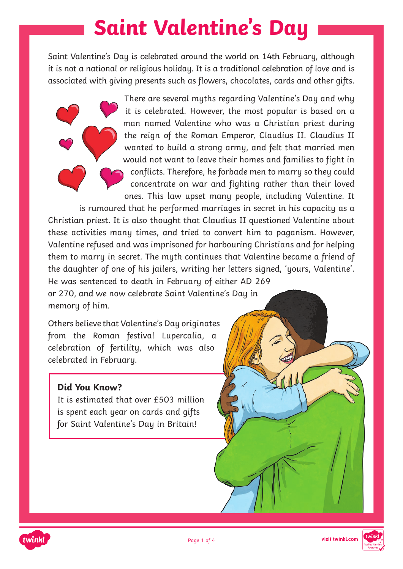## **Saint Valentine's Day**

Saint Valentine's Day is celebrated around the world on 14th February, although it is not a national or religious holiday. It is a traditional celebration of love and is associated with giving presents such as flowers, chocolates, cards and other gifts.

> There are several myths regarding Valentine's Day and why it is celebrated. However, the most popular is based on a man named Valentine who was a Christian priest during the reign of the Roman Emperor, Claudius II. Claudius II wanted to build a strong army, and felt that married men would not want to leave their homes and families to fight in conflicts. Therefore, he forbade men to marry so they could concentrate on war and fighting rather than their loved ones. This law upset many people, including Valentine. It

is rumoured that he performed marriages in secret in his capacity as a Christian priest. It is also thought that Claudius II questioned Valentine about these activities many times, and tried to convert him to paganism. However, Valentine refused and was imprisoned for harbouring Christians and for helping them to marry in secret. The myth continues that Valentine became a friend of the daughter of one of his jailers, writing her letters signed, 'yours, Valentine'. He was sentenced to death in February of either AD 269

or 270, and we now celebrate Saint Valentine's Day in memory of him.

Others believe that Valentine's Day originates from the Roman festival Lupercalia, a celebration of fertility, which was also celebrated in February.

#### **Did You Know?**

It is estimated that over £503 million is spent each year on cards and gifts for Saint Valentine's Day in Britain!



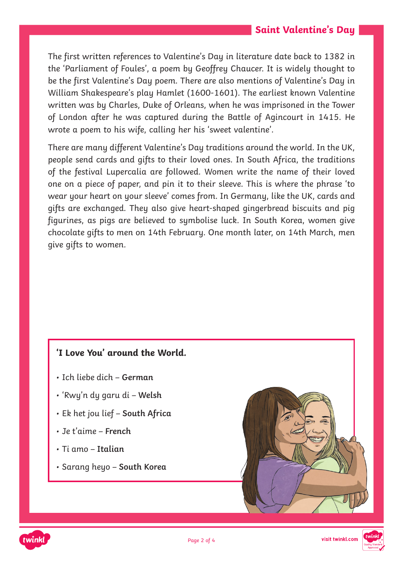The first written references to Valentine's Day in literature date back to 1382 in the 'Parliament of Foules', a poem by Geoffrey Chaucer. It is widely thought to be the first Valentine's Day poem. There are also mentions of Valentine's Day in William Shakespeare's play Hamlet (1600-1601). The earliest known Valentine written was by Charles, Duke of Orleans, when he was imprisoned in the Tower of London after he was captured during the Battle of Agincourt in 1415. He wrote a poem to his wife, calling her his 'sweet valentine'.

There are many different Valentine's Day traditions around the world. In the UK, people send cards and gifts to their loved ones. In South Africa, the traditions of the festival Lupercalia are followed. Women write the name of their loved one on a piece of paper, and pin it to their sleeve. This is where the phrase 'to wear your heart on your sleeve' comes from. In Germany, like the UK, cards and gifts are exchanged. They also give heart-shaped gingerbread biscuits and pig figurines, as pigs are believed to symbolise luck. In South Korea, women give chocolate gifts to men on 14th February. One month later, on 14th March, men give gifts to women.

#### **'I Love You' around the World.**

- Ich liebe dich **German**
- 'Rwy'n dy garu di **Welsh**
- Ek het jou lief **South Africa**
- Je t'aime – **French**
- Ti amo **Italian**
- Sarang heyo **South Korea**





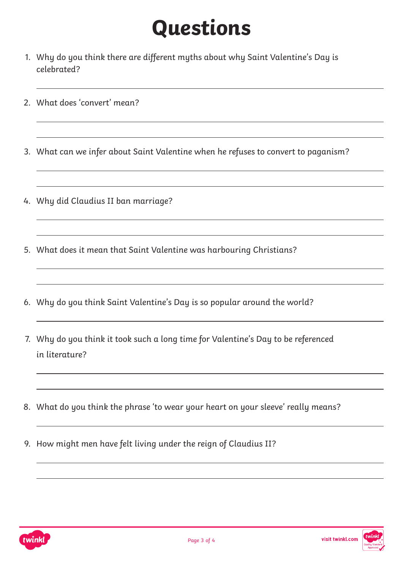# **Questions**

- 1. Why do you think there are different myths about why Saint Valentine's Day is celebrated?
- 2. What does 'convert' mean?
- 3. What can we infer about Saint Valentine when he refuses to convert to paganism?
- 4. Why did Claudius II ban marriage?
- 5. What does it mean that Saint Valentine was harbouring Christians?
- 6. Why do you think Saint Valentine's Day is so popular around the world?
- 7. Why do you think it took such a long time for Valentine's Day to be referenced in literature?
- 8. What do you think the phrase 'to wear your heart on your sleeve' really means?
- 9. How might men have felt living under the reign of Claudius II?